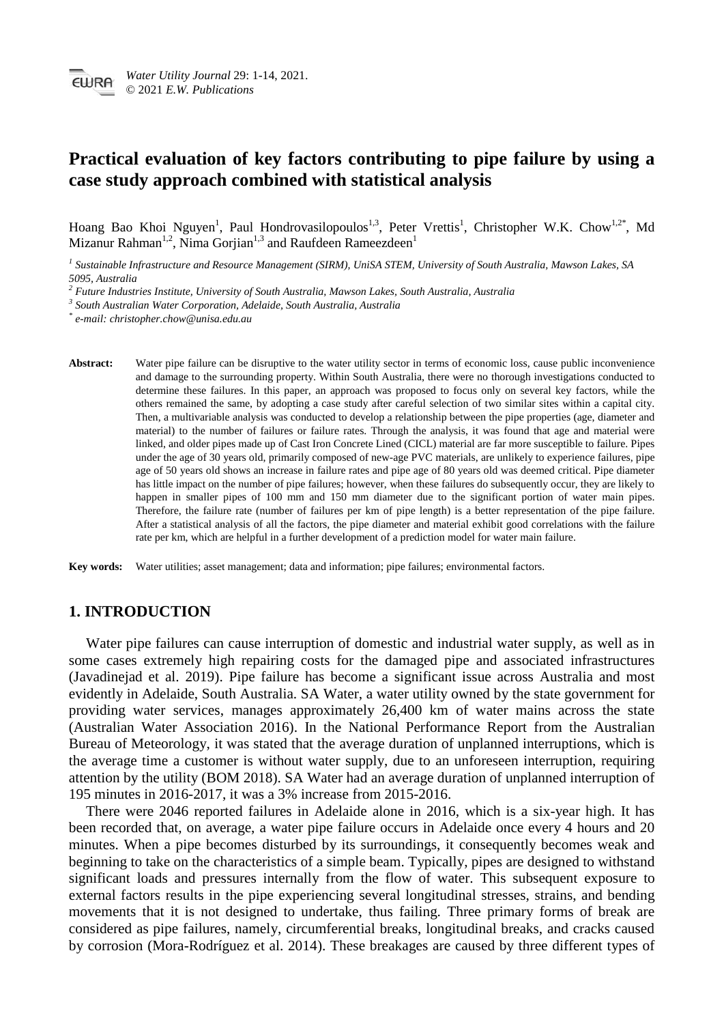# **Practical evaluation of key factors contributing to pipe failure by using a case study approach combined with statistical analysis**

Hoang Bao Khoi Nguyen<sup>1</sup>, Paul Hondrovasilopoulos<sup>1,3</sup>, Peter Vrettis<sup>1</sup>, Christopher W.K. Chow<sup>1,2\*</sup>, Md Mizanur Rahman<sup>1,2</sup>, Nima Gorjian<sup>1,3</sup> and Raufdeen Rameezdeen<sup>1</sup>

*<sup>1</sup> Sustainable Infrastructure and Resource Management (SIRM), UniSA STEM, University of South Australia, Mawson Lakes, SA 5095, Australia*

*\* e-mail: christopher.chow@unisa.edu.au*

Abstract: Water pipe failure can be disruptive to the water utility sector in terms of economic loss, cause public inconvenience and damage to the surrounding property. Within South Australia, there were no thorough investigations conducted to determine these failures. In this paper, an approach was proposed to focus only on several key factors, while the others remained the same, by adopting a case study after careful selection of two similar sites within a capital city. Then, a multivariable analysis was conducted to develop a relationship between the pipe properties (age, diameter and material) to the number of failures or failure rates. Through the analysis, it was found that age and material were linked, and older pipes made up of Cast Iron Concrete Lined (CICL) material are far more susceptible to failure. Pipes under the age of 30 years old, primarily composed of new-age PVC materials, are unlikely to experience failures, pipe age of 50 years old shows an increase in failure rates and pipe age of 80 years old was deemed critical. Pipe diameter has little impact on the number of pipe failures; however, when these failures do subsequently occur, they are likely to happen in smaller pipes of 100 mm and 150 mm diameter due to the significant portion of water main pipes. Therefore, the failure rate (number of failures per km of pipe length) is a better representation of the pipe failure. After a statistical analysis of all the factors, the pipe diameter and material exhibit good correlations with the failure rate per km, which are helpful in a further development of a prediction model for water main failure.

**Key words:** Water utilities; asset management; data and information; pipe failures; environmental factors.

## **1. INTRODUCTION**

Water pipe failures can cause interruption of domestic and industrial water supply, as well as in some cases extremely high repairing costs for the damaged pipe and associated infrastructures (Javadinejad et al. 2019). Pipe failure has become a significant issue across Australia and most evidently in Adelaide, South Australia. SA Water, a water utility owned by the state government for providing water services, manages approximately 26,400 km of water mains across the state (Australian Water Association 2016). In the National Performance Report from the Australian Bureau of Meteorology, it was stated that the average duration of unplanned interruptions, which is the average time a customer is without water supply, due to an unforeseen interruption, requiring attention by the utility (BOM 2018). SA Water had an average duration of unplanned interruption of 195 minutes in 2016-2017, it was a 3% increase from 2015-2016.

There were 2046 reported failures in Adelaide alone in 2016, which is a six-year high. It has been recorded that, on average, a water pipe failure occurs in Adelaide once every 4 hours and 20 minutes. When a pipe becomes disturbed by its surroundings, it consequently becomes weak and beginning to take on the characteristics of a simple beam. Typically, pipes are designed to withstand significant loads and pressures internally from the flow of water. This subsequent exposure to external factors results in the pipe experiencing several longitudinal stresses, strains, and bending movements that it is not designed to undertake, thus failing. Three primary forms of break are considered as pipe failures, namely, circumferential breaks, longitudinal breaks, and cracks caused by corrosion (Mora-Rodríguez et al. 2014). These breakages are caused by three different types of

*<sup>2</sup> Future Industries Institute, University of South Australia, Mawson Lakes, South Australia, Australia*

*<sup>3</sup> South Australian Water Corporation, Adelaide, South Australia, Australia*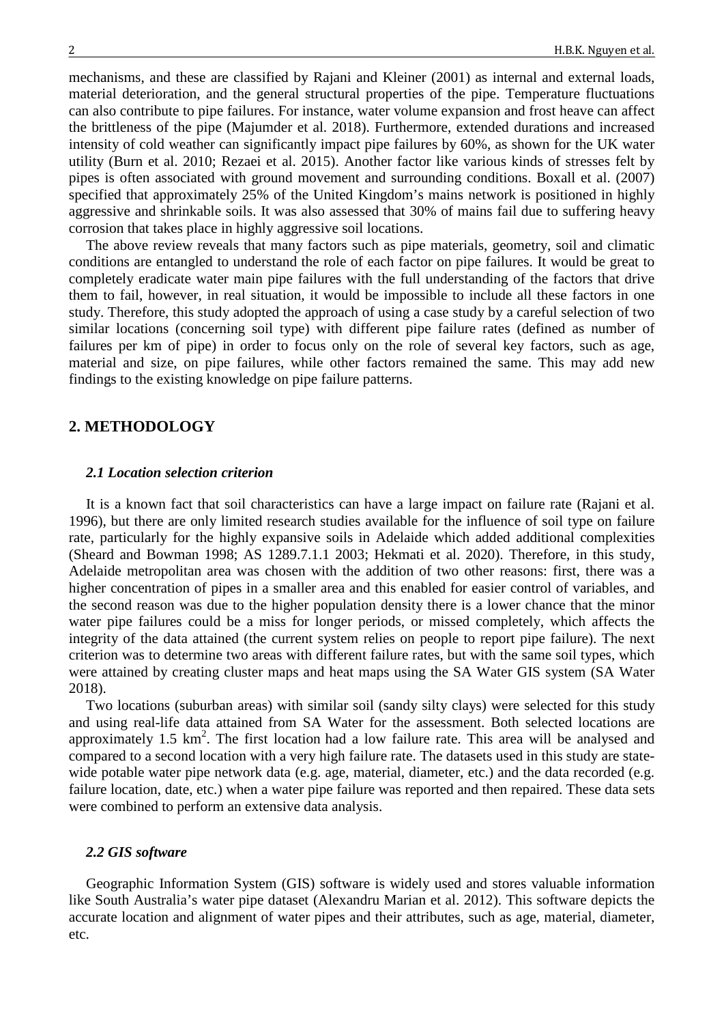mechanisms, and these are classified by Rajani and Kleiner (2001) as internal and external loads, material deterioration, and the general structural properties of the pipe. Temperature fluctuations can also contribute to pipe failures. For instance, water volume expansion and frost heave can affect the brittleness of the pipe (Majumder et al. 2018). Furthermore, extended durations and increased intensity of cold weather can significantly impact pipe failures by 60%, as shown for the UK water utility (Burn et al. 2010; Rezaei et al. 2015). Another factor like various kinds of stresses felt by pipes is often associated with ground movement and surrounding conditions. Boxall et al. (2007) specified that approximately 25% of the United Kingdom's mains network is positioned in highly aggressive and shrinkable soils. It was also assessed that 30% of mains fail due to suffering heavy corrosion that takes place in highly aggressive soil locations.

The above review reveals that many factors such as pipe materials, geometry, soil and climatic conditions are entangled to understand the role of each factor on pipe failures. It would be great to completely eradicate water main pipe failures with the full understanding of the factors that drive them to fail, however, in real situation, it would be impossible to include all these factors in one study. Therefore, this study adopted the approach of using a case study by a careful selection of two similar locations (concerning soil type) with different pipe failure rates (defined as number of failures per km of pipe) in order to focus only on the role of several key factors, such as age, material and size, on pipe failures, while other factors remained the same. This may add new findings to the existing knowledge on pipe failure patterns.

### **2. METHODOLOGY**

### *2.1 Location selection criterion*

It is a known fact that soil characteristics can have a large impact on failure rate (Rajani et al. 1996), but there are only limited research studies available for the influence of soil type on failure rate, particularly for the highly expansive soils in Adelaide which added additional complexities (Sheard and Bowman 1998; AS 1289.7.1.1 2003; Hekmati et al. 2020). Therefore, in this study, Adelaide metropolitan area was chosen with the addition of two other reasons: first, there was a higher concentration of pipes in a smaller area and this enabled for easier control of variables, and the second reason was due to the higher population density there is a lower chance that the minor water pipe failures could be a miss for longer periods, or missed completely, which affects the integrity of the data attained (the current system relies on people to report pipe failure). The next criterion was to determine two areas with different failure rates, but with the same soil types, which were attained by creating cluster maps and heat maps using the SA Water GIS system (SA Water 2018).

Two locations (suburban areas) with similar soil (sandy silty clays) were selected for this study and using real-life data attained from SA Water for the assessment. Both selected locations are approximately  $1.5 \text{ km}^2$ . The first location had a low failure rate. This area will be analysed and compared to a second location with a very high failure rate. The datasets used in this study are statewide potable water pipe network data (e.g. age, material, diameter, etc.) and the data recorded (e.g. failure location, date, etc.) when a water pipe failure was reported and then repaired. These data sets were combined to perform an extensive data analysis.

### *2.2 GIS software*

Geographic Information System (GIS) software is widely used and stores valuable information like South Australia's water pipe dataset (Alexandru Marian et al. 2012). This software depicts the accurate location and alignment of water pipes and their attributes, such as age, material, diameter, etc.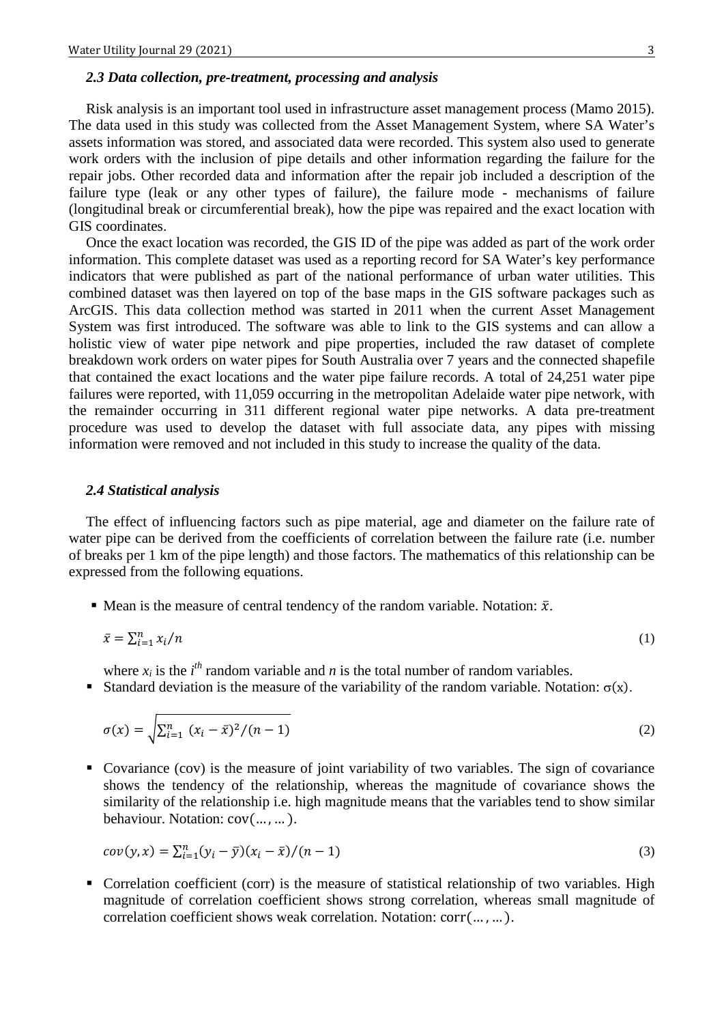### *2.3 Data collection, pre-treatment, processing and analysis*

Risk analysis is an important tool used in infrastructure asset management process (Mamo 2015). The data used in this study was collected from the Asset Management System, where SA Water's assets information was stored, and associated data were recorded. This system also used to generate work orders with the inclusion of pipe details and other information regarding the failure for the repair jobs. Other recorded data and information after the repair job included a description of the failure type (leak or any other types of failure), the failure mode - mechanisms of failure (longitudinal break or circumferential break), how the pipe was repaired and the exact location with GIS coordinates.

Once the exact location was recorded, the GIS ID of the pipe was added as part of the work order information. This complete dataset was used as a reporting record for SA Water's key performance indicators that were published as part of the national performance of urban water utilities. This combined dataset was then layered on top of the base maps in the GIS software packages such as ArcGIS. This data collection method was started in 2011 when the current Asset Management System was first introduced. The software was able to link to the GIS systems and can allow a holistic view of water pipe network and pipe properties, included the raw dataset of complete breakdown work orders on water pipes for South Australia over 7 years and the connected shapefile that contained the exact locations and the water pipe failure records. A total of 24,251 water pipe failures were reported, with 11,059 occurring in the metropolitan Adelaide water pipe network, with the remainder occurring in 311 different regional water pipe networks. A data pre-treatment procedure was used to develop the dataset with full associate data, any pipes with missing information were removed and not included in this study to increase the quality of the data.

## *2.4 Statistical analysis*

The effect of influencing factors such as pipe material, age and diameter on the failure rate of water pipe can be derived from the coefficients of correlation between the failure rate (i.e. number of breaks per 1 km of the pipe length) and those factors. The mathematics of this relationship can be expressed from the following equations.

 $\blacksquare$  Mean is the measure of central tendency of the random variable. Notation:  $\bar{x}$ .

$$
\bar{x} = \sum_{i=1}^{n} x_i / n \tag{1}
$$

where  $x_i$  is the  $i^{th}$  random variable and *n* is the total number of random variables.

Standard deviation is the measure of the variability of the random variable. Notation:  $\sigma(x)$ .

$$
\sigma(x) = \sqrt{\sum_{i=1}^{n} (x_i - \bar{x})^2 / (n-1)}
$$
\n(2)

 Covariance (cov) is the measure of joint variability of two variables. The sign of covariance shows the tendency of the relationship, whereas the magnitude of covariance shows the similarity of the relationship i.e. high magnitude means that the variables tend to show similar behaviour. Notation: cov(… , … ).

$$
cov(y, x) = \sum_{i=1}^{n} (y_i - \bar{y})(x_i - \bar{x})/(n-1)
$$
\n(3)

 Correlation coefficient (corr) is the measure of statistical relationship of two variables. High magnitude of correlation coefficient shows strong correlation, whereas small magnitude of correlation coefficient shows weak correlation. Notation: corr(… , … ).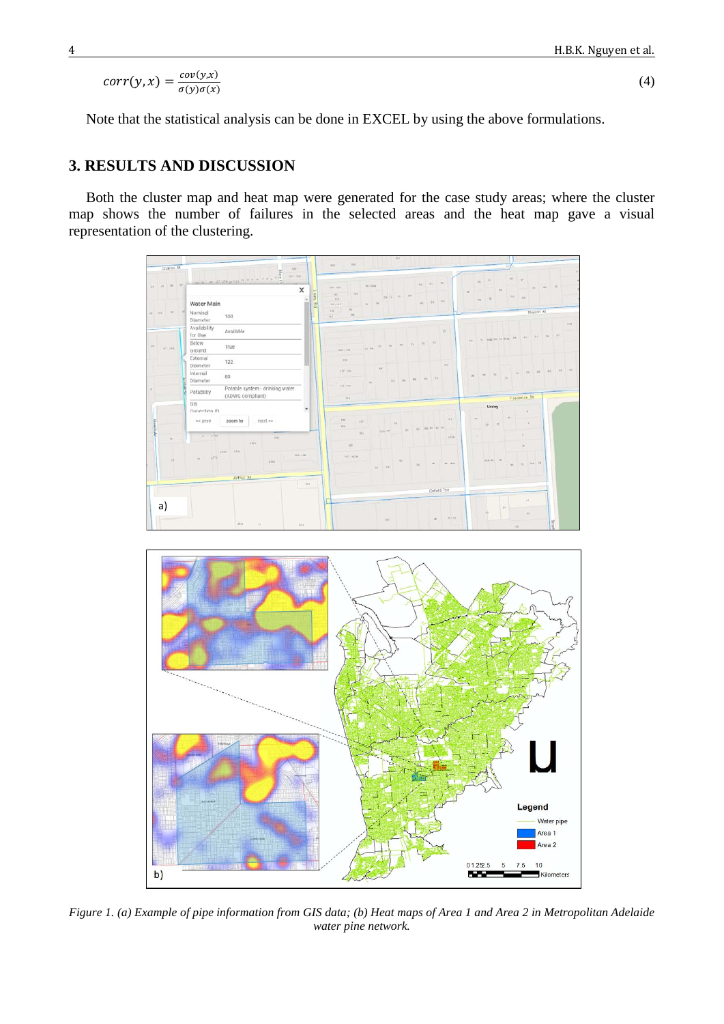$$
corr(y,x) = \frac{cov(y,x)}{\sigma(y)\sigma(x)}\tag{4}
$$

Note that the statistical analysis can be done in EXCEL by using the above formulations.

## **3. RESULTS AND DISCUSSION**

Both the cluster map and heat map were generated for the case study areas; where the cluster map shows the number of failures in the selected areas and the heat map gave a visual representation of the clustering.





*Figure 1. (a) Example of pipe information from GIS data; (b) Heat maps of Area 1 and Area 2 in Metropolitan Adelaide water pine network.*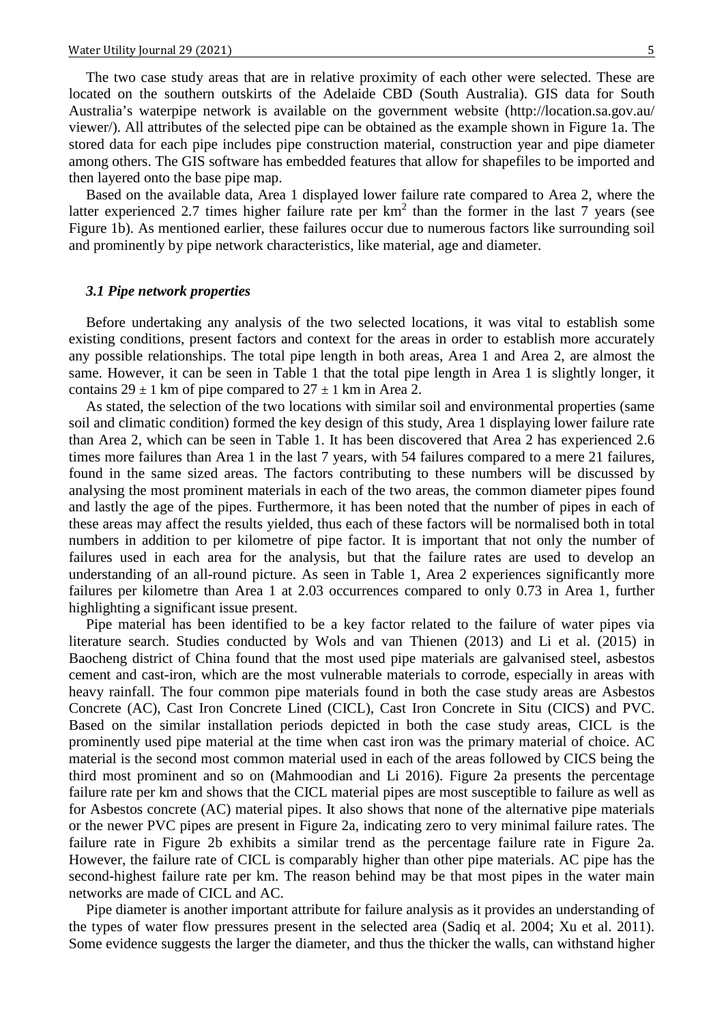The two case study areas that are in relative proximity of each other were selected. These are located on the southern outskirts of the Adelaide CBD (South Australia). GIS data for South Australia's waterpipe network is available on the government website (http://location.sa.gov.au/ viewer/). All attributes of the selected pipe can be obtained as the example shown in Figure 1a. The stored data for each pipe includes pipe construction material, construction year and pipe diameter among others. The GIS software has embedded features that allow for shapefiles to be imported and then layered onto the base pipe map.

Based on the available data, Area 1 displayed lower failure rate compared to Area 2, where the latter experienced 2.7 times higher failure rate per  $km<sup>2</sup>$  than the former in the last 7 years (see Figure 1b). As mentioned earlier, these failures occur due to numerous factors like surrounding soil and prominently by pipe network characteristics, like material, age and diameter.

#### *3.1 Pipe network properties*

Before undertaking any analysis of the two selected locations, it was vital to establish some existing conditions, present factors and context for the areas in order to establish more accurately any possible relationships. The total pipe length in both areas, Area 1 and Area 2, are almost the same. However, it can be seen in Table 1 that the total pipe length in Area 1 is slightly longer, it contains  $29 \pm 1$  km of pipe compared to  $27 \pm 1$  km in Area 2.

As stated, the selection of the two locations with similar soil and environmental properties (same soil and climatic condition) formed the key design of this study, Area 1 displaying lower failure rate than Area 2, which can be seen in Table 1. It has been discovered that Area 2 has experienced 2.6 times more failures than Area 1 in the last 7 years, with 54 failures compared to a mere 21 failures, found in the same sized areas. The factors contributing to these numbers will be discussed by analysing the most prominent materials in each of the two areas, the common diameter pipes found and lastly the age of the pipes. Furthermore, it has been noted that the number of pipes in each of these areas may affect the results yielded, thus each of these factors will be normalised both in total numbers in addition to per kilometre of pipe factor. It is important that not only the number of failures used in each area for the analysis, but that the failure rates are used to develop an understanding of an all-round picture. As seen in Table 1, Area 2 experiences significantly more failures per kilometre than Area 1 at 2.03 occurrences compared to only 0.73 in Area 1, further highlighting a significant issue present.

Pipe material has been identified to be a key factor related to the failure of water pipes via literature search. Studies conducted by Wols and van Thienen (2013) and Li et al. (2015) in Baocheng district of China found that the most used pipe materials are galvanised steel, asbestos cement and cast-iron, which are the most vulnerable materials to corrode, especially in areas with heavy rainfall. The four common pipe materials found in both the case study areas are Asbestos Concrete (AC), Cast Iron Concrete Lined (CICL), Cast Iron Concrete in Situ (CICS) and PVC. Based on the similar installation periods depicted in both the case study areas, CICL is the prominently used pipe material at the time when cast iron was the primary material of choice. AC material is the second most common material used in each of the areas followed by CICS being the third most prominent and so on (Mahmoodian and Li 2016). Figure 2a presents the percentage failure rate per km and shows that the CICL material pipes are most susceptible to failure as well as for Asbestos concrete (AC) material pipes. It also shows that none of the alternative pipe materials or the newer PVC pipes are present in Figure 2a, indicating zero to very minimal failure rates. The failure rate in Figure 2b exhibits a similar trend as the percentage failure rate in Figure 2a. However, the failure rate of CICL is comparably higher than other pipe materials. AC pipe has the second-highest failure rate per km. The reason behind may be that most pipes in the water main networks are made of CICL and AC.

Pipe diameter is another important attribute for failure analysis as it provides an understanding of the types of water flow pressures present in the selected area (Sadiq et al. 2004; Xu et al. 2011). Some evidence suggests the larger the diameter, and thus the thicker the walls, can withstand higher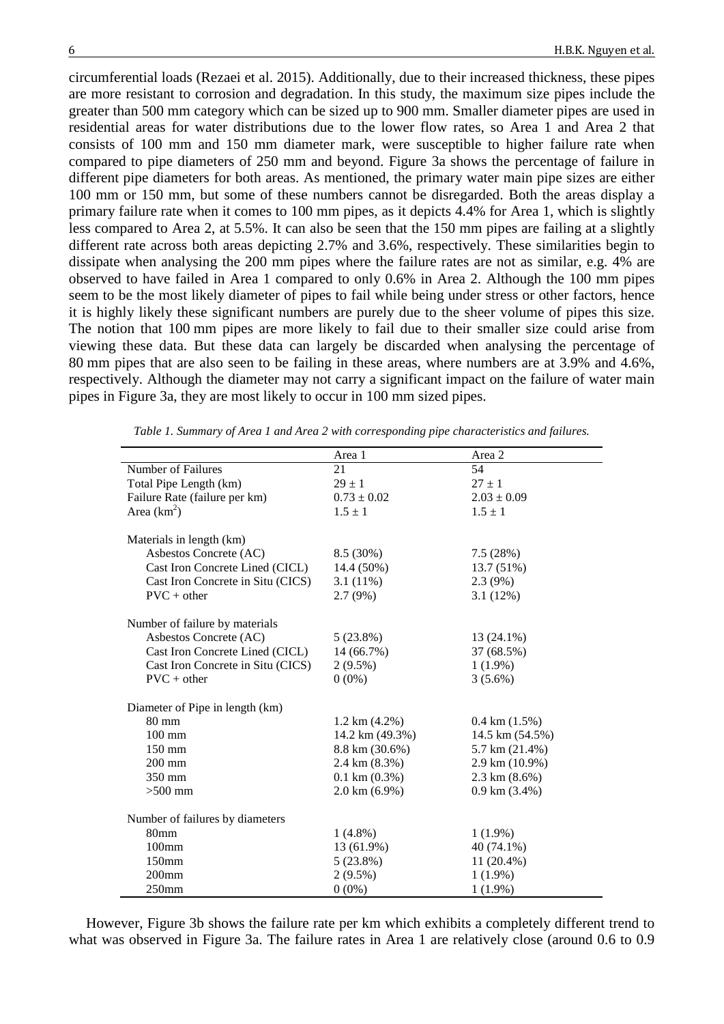circumferential loads (Rezaei et al. 2015). Additionally, due to their increased thickness, these pipes are more resistant to corrosion and degradation. In this study, the maximum size pipes include the greater than 500 mm category which can be sized up to 900 mm. Smaller diameter pipes are used in residential areas for water distributions due to the lower flow rates, so Area 1 and Area 2 that consists of 100 mm and 150 mm diameter mark, were susceptible to higher failure rate when compared to pipe diameters of 250 mm and beyond. Figure 3a shows the percentage of failure in different pipe diameters for both areas. As mentioned, the primary water main pipe sizes are either 100 mm or 150 mm, but some of these numbers cannot be disregarded. Both the areas display a primary failure rate when it comes to 100 mm pipes, as it depicts 4.4% for Area 1, which is slightly less compared to Area 2, at 5.5%. It can also be seen that the 150 mm pipes are failing at a slightly different rate across both areas depicting 2.7% and 3.6%, respectively. These similarities begin to dissipate when analysing the 200 mm pipes where the failure rates are not as similar, e.g. 4% are observed to have failed in Area 1 compared to only 0.6% in Area 2. Although the 100 mm pipes seem to be the most likely diameter of pipes to fail while being under stress or other factors, hence it is highly likely these significant numbers are purely due to the sheer volume of pipes this size. The notion that 100 mm pipes are more likely to fail due to their smaller size could arise from viewing these data. But these data can largely be discarded when analysing the percentage of 80 mm pipes that are also seen to be failing in these areas, where numbers are at 3.9% and 4.6%, respectively. Although the diameter may not carry a significant impact on the failure of water main pipes in Figure 3a, they are most likely to occur in 100 mm sized pipes.

|                                   | Area 1                    | Area 2                    |  |  |
|-----------------------------------|---------------------------|---------------------------|--|--|
| Number of Failures                | 21                        | 54                        |  |  |
| Total Pipe Length (km)            | $29 \pm 1$                | $27 \pm 1$                |  |  |
| Failure Rate (failure per km)     | $0.73 \pm 0.02$           | $2.03 \pm 0.09$           |  |  |
| Area $(km^2)$                     | $1.5 \pm 1$               | $1.5 \pm 1$               |  |  |
|                                   |                           |                           |  |  |
| Materials in length (km)          |                           |                           |  |  |
| Asbestos Concrete (AC)            | 8.5 (30%)                 | 7.5(28%)                  |  |  |
| Cast Iron Concrete Lined (CICL)   | 14.4 (50%)                | 13.7 (51%)                |  |  |
| Cast Iron Concrete in Situ (CICS) | $3.1(11\%)$               | 2.3(9%)                   |  |  |
| $PVC + other$                     | $2.7(9\%)$                | 3.1(12%)                  |  |  |
| Number of failure by materials    |                           |                           |  |  |
| Asbestos Concrete (AC)            | $5(23.8\%)$               | $13(24.1\%)$              |  |  |
| Cast Iron Concrete Lined (CICL)   | 14 (66.7%)                | 37 (68.5%)                |  |  |
| Cast Iron Concrete in Situ (CICS) | $2(9.5\%)$                | $1(1.9\%)$                |  |  |
| $PVC + other$                     |                           |                           |  |  |
|                                   | $0(0\%)$                  | $3(5.6\%)$                |  |  |
| Diameter of Pipe in length (km)   |                           |                           |  |  |
| 80 mm                             | $1.2 \text{ km } (4.2\%)$ | $0.4 \text{ km} (1.5\%)$  |  |  |
| $100 \text{ mm}$                  | 14.2 km (49.3%)           | 14.5 km (54.5%)           |  |  |
| 150 mm                            | 8.8 km (30.6%)            | 5.7 km (21.4%)            |  |  |
| $200$ mm                          | 2.4 km (8.3%)             | 2.9 km (10.9%)            |  |  |
| 350 mm                            | $0.1 \text{ km} (0.3\%)$  | $2.3 \text{ km } (8.6\%)$ |  |  |
| $>500$ mm                         | $2.0 \text{ km} (6.9\%)$  | $0.9 \text{ km} (3.4\%)$  |  |  |
|                                   |                           |                           |  |  |
| Number of failures by diameters   |                           |                           |  |  |
| 80mm                              | $1(4.8\%)$                | $1(1.9\%)$                |  |  |
| $100$ mm                          | 13 (61.9%)                | 40 (74.1%)                |  |  |
| 150mm                             | $5(23.8\%)$               | 11 (20.4%)                |  |  |
| $200$ mm                          | $2(9.5\%)$                | $1(1.9\%)$                |  |  |
| 250mm                             | $0(0\%)$                  | $1(1.9\%)$                |  |  |

*Table 1. Summary of Area 1 and Area 2 with corresponding pipe characteristics and failures.*

However, Figure 3b shows the failure rate per km which exhibits a completely different trend to what was observed in Figure 3a. The failure rates in Area 1 are relatively close (around 0.6 to 0.9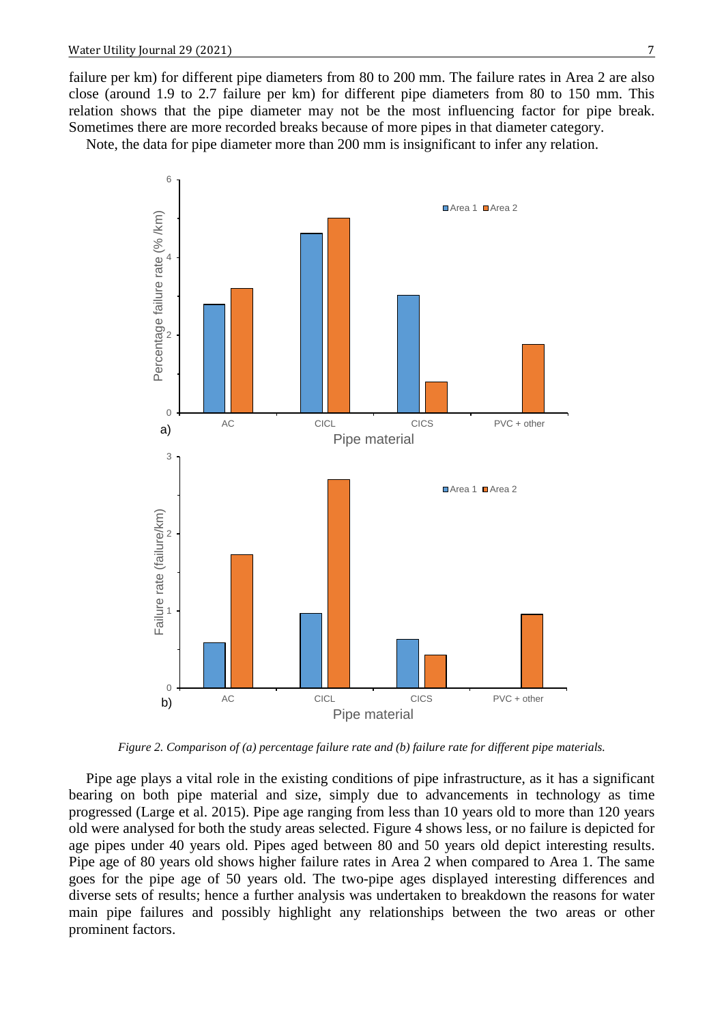failure per km) for different pipe diameters from 80 to 200 mm. The failure rates in Area 2 are also close (around 1.9 to 2.7 failure per km) for different pipe diameters from 80 to 150 mm. This relation shows that the pipe diameter may not be the most influencing factor for pipe break. Sometimes there are more recorded breaks because of more pipes in that diameter category.

Note, the data for pipe diameter more than 200 mm is insignificant to infer any relation.



*Figure 2. Comparison of (a) percentage failure rate and (b) failure rate for different pipe materials.*

Pipe age plays a vital role in the existing conditions of pipe infrastructure, as it has a significant bearing on both pipe material and size, simply due to advancements in technology as time progressed (Large et al. 2015). Pipe age ranging from less than 10 years old to more than 120 years old were analysed for both the study areas selected. Figure 4 shows less, or no failure is depicted for age pipes under 40 years old. Pipes aged between 80 and 50 years old depict interesting results. Pipe age of 80 years old shows higher failure rates in Area 2 when compared to Area 1. The same goes for the pipe age of 50 years old. The two-pipe ages displayed interesting differences and diverse sets of results; hence a further analysis was undertaken to breakdown the reasons for water main pipe failures and possibly highlight any relationships between the two areas or other prominent factors.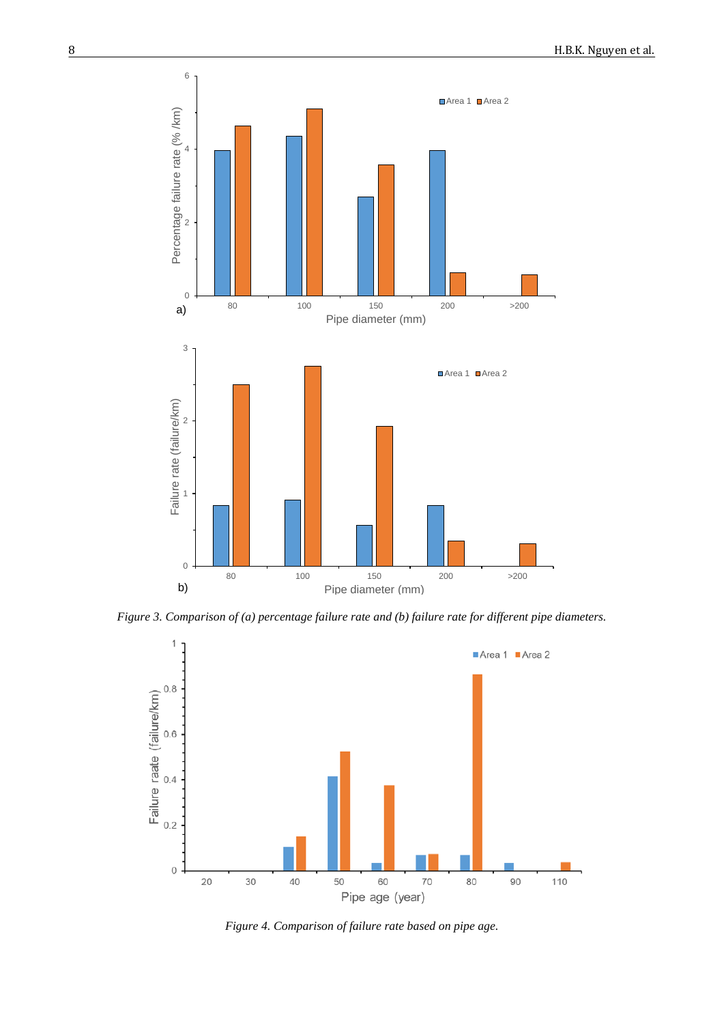

*Figure 3. Comparison of (a) percentage failure rate and (b) failure rate for different pipe diameters.*



*Figure 4. Comparison of failure rate based on pipe age.*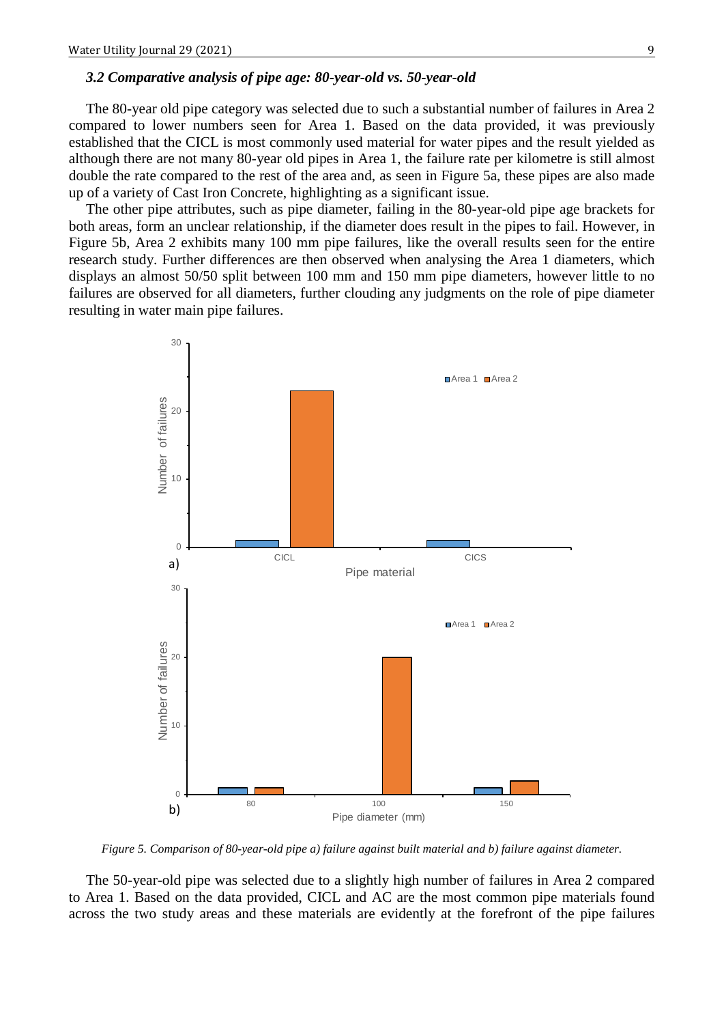### *3.2 Comparative analysis of pipe age: 80-year-old vs. 50-year-old*

The 80-year old pipe category was selected due to such a substantial number of failures in Area 2 compared to lower numbers seen for Area 1. Based on the data provided, it was previously established that the CICL is most commonly used material for water pipes and the result yielded as although there are not many 80-year old pipes in Area 1, the failure rate per kilometre is still almost double the rate compared to the rest of the area and, as seen in Figure 5a, these pipes are also made up of a variety of Cast Iron Concrete, highlighting as a significant issue.

The other pipe attributes, such as pipe diameter, failing in the 80-year-old pipe age brackets for both areas, form an unclear relationship, if the diameter does result in the pipes to fail. However, in Figure 5b, Area 2 exhibits many 100 mm pipe failures, like the overall results seen for the entire research study. Further differences are then observed when analysing the Area 1 diameters, which displays an almost 50/50 split between 100 mm and 150 mm pipe diameters, however little to no failures are observed for all diameters, further clouding any judgments on the role of pipe diameter resulting in water main pipe failures.



*Figure 5. Comparison of 80-year-old pipe a) failure against built material and b) failure against diameter.*

The 50-year-old pipe was selected due to a slightly high number of failures in Area 2 compared to Area 1. Based on the data provided, CICL and AC are the most common pipe materials found across the two study areas and these materials are evidently at the forefront of the pipe failures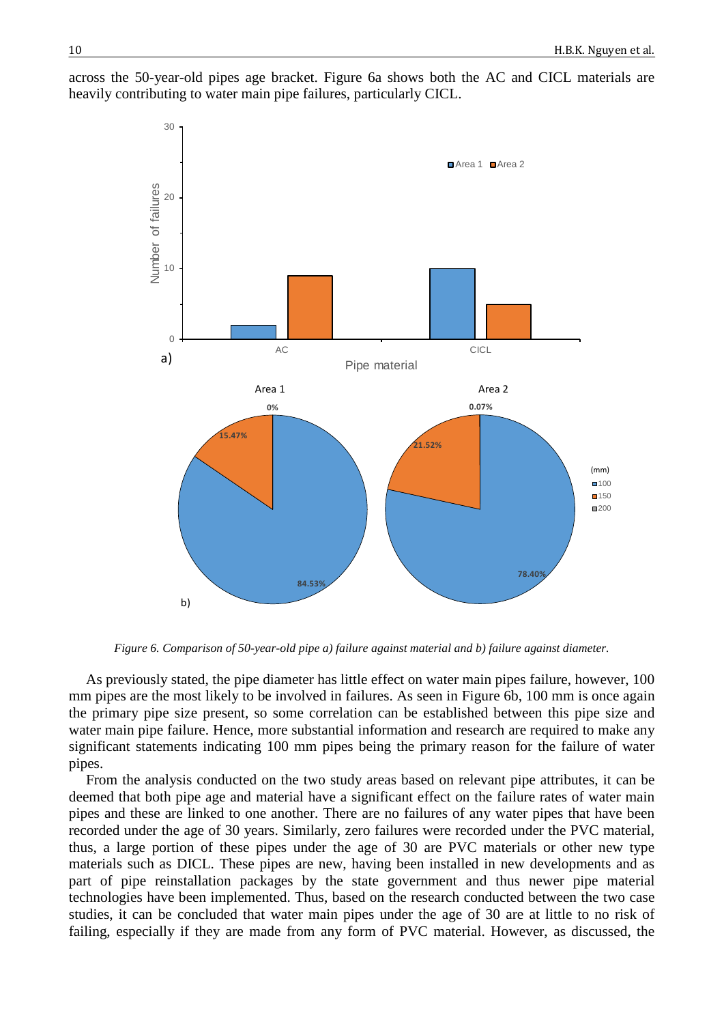

across the 50-year-old pipes age bracket. Figure 6a shows both the AC and CICL materials are heavily contributing to water main pipe failures, particularly CICL.

*Figure 6. Comparison of 50-year-old pipe a) failure against material and b) failure against diameter.*

As previously stated, the pipe diameter has little effect on water main pipes failure, however, 100 mm pipes are the most likely to be involved in failures. As seen in Figure 6b, 100 mm is once again the primary pipe size present, so some correlation can be established between this pipe size and water main pipe failure. Hence, more substantial information and research are required to make any significant statements indicating 100 mm pipes being the primary reason for the failure of water pipes.

From the analysis conducted on the two study areas based on relevant pipe attributes, it can be deemed that both pipe age and material have a significant effect on the failure rates of water main pipes and these are linked to one another. There are no failures of any water pipes that have been recorded under the age of 30 years. Similarly, zero failures were recorded under the PVC material, thus, a large portion of these pipes under the age of 30 are PVC materials or other new type materials such as DICL. These pipes are new, having been installed in new developments and as part of pipe reinstallation packages by the state government and thus newer pipe material technologies have been implemented. Thus, based on the research conducted between the two case studies, it can be concluded that water main pipes under the age of 30 are at little to no risk of failing, especially if they are made from any form of PVC material. However, as discussed, the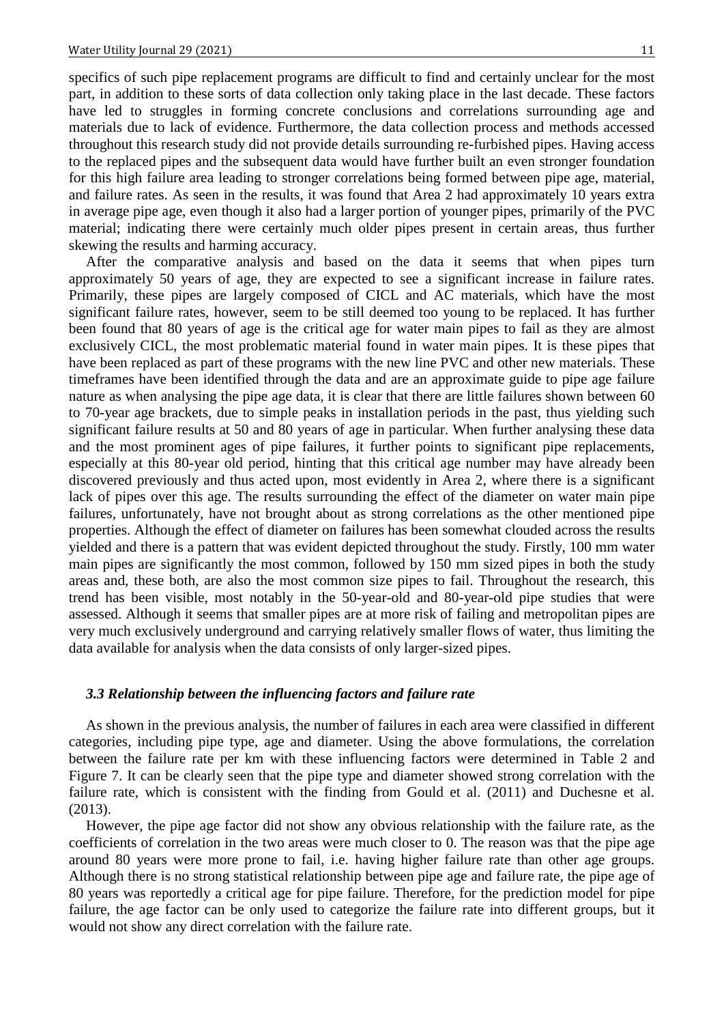specifics of such pipe replacement programs are difficult to find and certainly unclear for the most part, in addition to these sorts of data collection only taking place in the last decade. These factors have led to struggles in forming concrete conclusions and correlations surrounding age and materials due to lack of evidence. Furthermore, the data collection process and methods accessed throughout this research study did not provide details surrounding re-furbished pipes. Having access to the replaced pipes and the subsequent data would have further built an even stronger foundation for this high failure area leading to stronger correlations being formed between pipe age, material, and failure rates. As seen in the results, it was found that Area 2 had approximately 10 years extra in average pipe age, even though it also had a larger portion of younger pipes, primarily of the PVC material; indicating there were certainly much older pipes present in certain areas, thus further skewing the results and harming accuracy.

After the comparative analysis and based on the data it seems that when pipes turn approximately 50 years of age, they are expected to see a significant increase in failure rates. Primarily, these pipes are largely composed of CICL and AC materials, which have the most significant failure rates, however, seem to be still deemed too young to be replaced. It has further been found that 80 years of age is the critical age for water main pipes to fail as they are almost exclusively CICL, the most problematic material found in water main pipes. It is these pipes that have been replaced as part of these programs with the new line PVC and other new materials. These timeframes have been identified through the data and are an approximate guide to pipe age failure nature as when analysing the pipe age data, it is clear that there are little failures shown between 60 to 70-year age brackets, due to simple peaks in installation periods in the past, thus yielding such significant failure results at 50 and 80 years of age in particular. When further analysing these data and the most prominent ages of pipe failures, it further points to significant pipe replacements, especially at this 80-year old period, hinting that this critical age number may have already been discovered previously and thus acted upon, most evidently in Area 2, where there is a significant lack of pipes over this age. The results surrounding the effect of the diameter on water main pipe failures, unfortunately, have not brought about as strong correlations as the other mentioned pipe properties. Although the effect of diameter on failures has been somewhat clouded across the results yielded and there is a pattern that was evident depicted throughout the study. Firstly, 100 mm water main pipes are significantly the most common, followed by 150 mm sized pipes in both the study areas and, these both, are also the most common size pipes to fail. Throughout the research, this trend has been visible, most notably in the 50-year-old and 80-year-old pipe studies that were assessed. Although it seems that smaller pipes are at more risk of failing and metropolitan pipes are very much exclusively underground and carrying relatively smaller flows of water, thus limiting the data available for analysis when the data consists of only larger-sized pipes.

### *3.3 Relationship between the influencing factors and failure rate*

As shown in the previous analysis, the number of failures in each area were classified in different categories, including pipe type, age and diameter. Using the above formulations, the correlation between the failure rate per km with these influencing factors were determined in Table 2 and Figure 7. It can be clearly seen that the pipe type and diameter showed strong correlation with the failure rate, which is consistent with the finding from Gould et al. (2011) and Duchesne et al. (2013).

However, the pipe age factor did not show any obvious relationship with the failure rate, as the coefficients of correlation in the two areas were much closer to 0. The reason was that the pipe age around 80 years were more prone to fail, i.e. having higher failure rate than other age groups. Although there is no strong statistical relationship between pipe age and failure rate, the pipe age of 80 years was reportedly a critical age for pipe failure. Therefore, for the prediction model for pipe failure, the age factor can be only used to categorize the failure rate into different groups, but it would not show any direct correlation with the failure rate.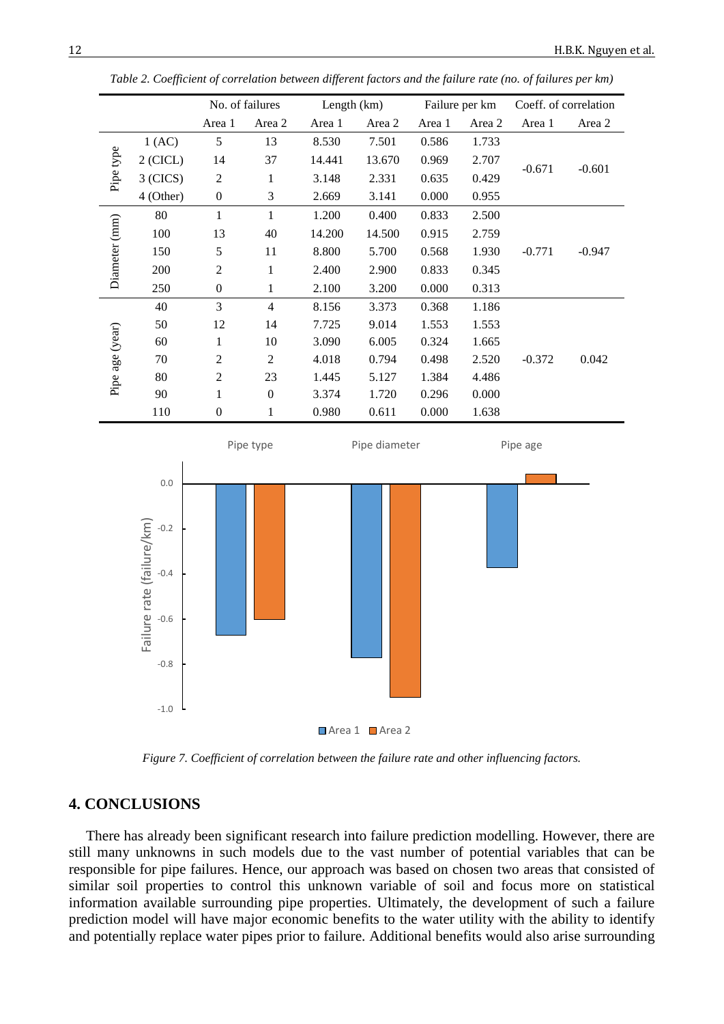|                 |            |                  | No. of failures | Length $(km)$ |        | Failure per km |        | Coeff. of correlation |          |
|-----------------|------------|------------------|-----------------|---------------|--------|----------------|--------|-----------------------|----------|
|                 |            | Area 1           | Area 2          | Area 1        | Area 2 | Area 1         | Area 2 | Area 1                | Area 2   |
| Pipe type       | 1(AC)      | 5                | 13              | 8.530         | 7.501  | 0.586          | 1.733  | $-0.671$              | $-0.601$ |
|                 | $2$ (CICL) | 14               | 37              | 14.441        | 13.670 | 0.969          | 2.707  |                       |          |
|                 | $3$ (CICS) | $\overline{2}$   | 1               | 3.148         | 2.331  | 0.635          | 0.429  |                       |          |
|                 | 4 (Other)  | $\boldsymbol{0}$ | 3               | 2.669         | 3.141  | 0.000          | 0.955  |                       |          |
| Diameter (mm)   | 80         | 1                | 1               | 1.200         | 0.400  | 0.833          | 2.500  | $-0.771$              | $-0.947$ |
|                 | 100        | 13               | 40              | 14.200        | 14.500 | 0.915          | 2.759  |                       |          |
|                 | 150        | 5                | 11              | 8.800         | 5.700  | 0.568          | 1.930  |                       |          |
|                 | 200        | 2                | 1               | 2.400         | 2.900  | 0.833          | 0.345  |                       |          |
|                 | 250        | $\mathbf{0}$     | 1               | 2.100         | 3.200  | 0.000          | 0.313  |                       |          |
| Pipe age (year) | 40         | 3                | $\overline{4}$  | 8.156         | 3.373  | 0.368          | 1.186  |                       |          |
|                 | 50         | 12               | 14              | 7.725         | 9.014  | 1.553          | 1.553  |                       |          |
|                 | 60         | 1                | 10              | 3.090         | 6.005  | 0.324          | 1.665  | $-0.372$              | 0.042    |
|                 | 70         | 2                | $\overline{2}$  | 4.018         | 0.794  | 0.498          | 2.520  |                       |          |
|                 | 80         | 2                | 23              | 1.445         | 5.127  | 1.384          | 4.486  |                       |          |
|                 | 90         | 1                | $\mathbf{0}$    | 3.374         | 1.720  | 0.296          | 0.000  |                       |          |
|                 | 110        | $\mathbf{0}$     | 1               | 0.980         | 0.611  | 0.000          | 1.638  |                       |          |

*Table 2. Coefficient of correlation between different factors and the failure rate (no. of failures per km)* 



*Figure 7. Coefficient of correlation between the failure rate and other influencing factors.*

## **4. CONCLUSIONS**

There has already been significant research into failure prediction modelling. However, there are still many unknowns in such models due to the vast number of potential variables that can be responsible for pipe failures. Hence, our approach was based on chosen two areas that consisted of similar soil properties to control this unknown variable of soil and focus more on statistical information available surrounding pipe properties. Ultimately, the development of such a failure prediction model will have major economic benefits to the water utility with the ability to identify and potentially replace water pipes prior to failure. Additional benefits would also arise surrounding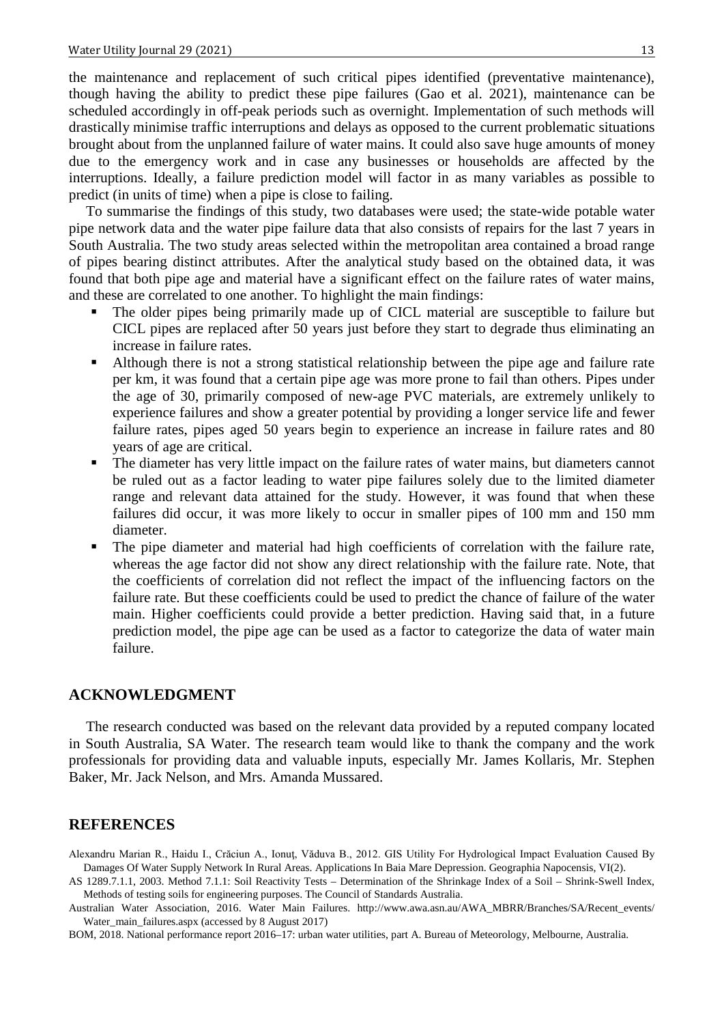the maintenance and replacement of such critical pipes identified (preventative maintenance), though having the ability to predict these pipe failures (Gao et al. 2021), maintenance can be scheduled accordingly in off-peak periods such as overnight. Implementation of such methods will drastically minimise traffic interruptions and delays as opposed to the current problematic situations brought about from the unplanned failure of water mains. It could also save huge amounts of money due to the emergency work and in case any businesses or households are affected by the interruptions. Ideally, a failure prediction model will factor in as many variables as possible to predict (in units of time) when a pipe is close to failing.

To summarise the findings of this study, two databases were used; the state-wide potable water pipe network data and the water pipe failure data that also consists of repairs for the last 7 years in South Australia. The two study areas selected within the metropolitan area contained a broad range of pipes bearing distinct attributes. After the analytical study based on the obtained data, it was found that both pipe age and material have a significant effect on the failure rates of water mains, and these are correlated to one another. To highlight the main findings:

- The older pipes being primarily made up of CICL material are susceptible to failure but CICL pipes are replaced after 50 years just before they start to degrade thus eliminating an increase in failure rates.
- Although there is not a strong statistical relationship between the pipe age and failure rate per km, it was found that a certain pipe age was more prone to fail than others. Pipes under the age of 30, primarily composed of new-age PVC materials, are extremely unlikely to experience failures and show a greater potential by providing a longer service life and fewer failure rates, pipes aged 50 years begin to experience an increase in failure rates and 80 years of age are critical.
- The diameter has very little impact on the failure rates of water mains, but diameters cannot be ruled out as a factor leading to water pipe failures solely due to the limited diameter range and relevant data attained for the study. However, it was found that when these failures did occur, it was more likely to occur in smaller pipes of 100 mm and 150 mm diameter.
- The pipe diameter and material had high coefficients of correlation with the failure rate, whereas the age factor did not show any direct relationship with the failure rate. Note, that the coefficients of correlation did not reflect the impact of the influencing factors on the failure rate. But these coefficients could be used to predict the chance of failure of the water main. Higher coefficients could provide a better prediction. Having said that, in a future prediction model, the pipe age can be used as a factor to categorize the data of water main failure.

### **ACKNOWLEDGMENT**

The research conducted was based on the relevant data provided by a reputed company located in South Australia, SA Water. The research team would like to thank the company and the work professionals for providing data and valuable inputs, especially Mr. James Kollaris, Mr. Stephen Baker, Mr. Jack Nelson, and Mrs. Amanda Mussared.

## **REFERENCES**

Alexandru Marian R., Haidu I., Crăciun A., Ionuţ, Văduva B., 2012. GIS Utility For Hydrological Impact Evaluation Caused By Damages Of Water Supply Network In Rural Areas. Applications In Baia Mare Depression. Geographia Napocensis, VI(2).

AS 1289.7.1.1, 2003. Method 7.1.1: Soil Reactivity Tests – Determination of the Shrinkage Index of a Soil – Shrink-Swell Index, Methods of testing soils for engineering purposes. The Council of Standards Australia.

Australian Water Association, 2016. Water Main Failures. http://www.awa.asn.au/AWA\_MBRR/Branches/SA/Recent\_events/ Water\_main\_failures.aspx (accessed by 8 August 2017)

BOM, 2018. National performance report 2016–17: urban water utilities, part A. Bureau of Meteorology, Melbourne, Australia.